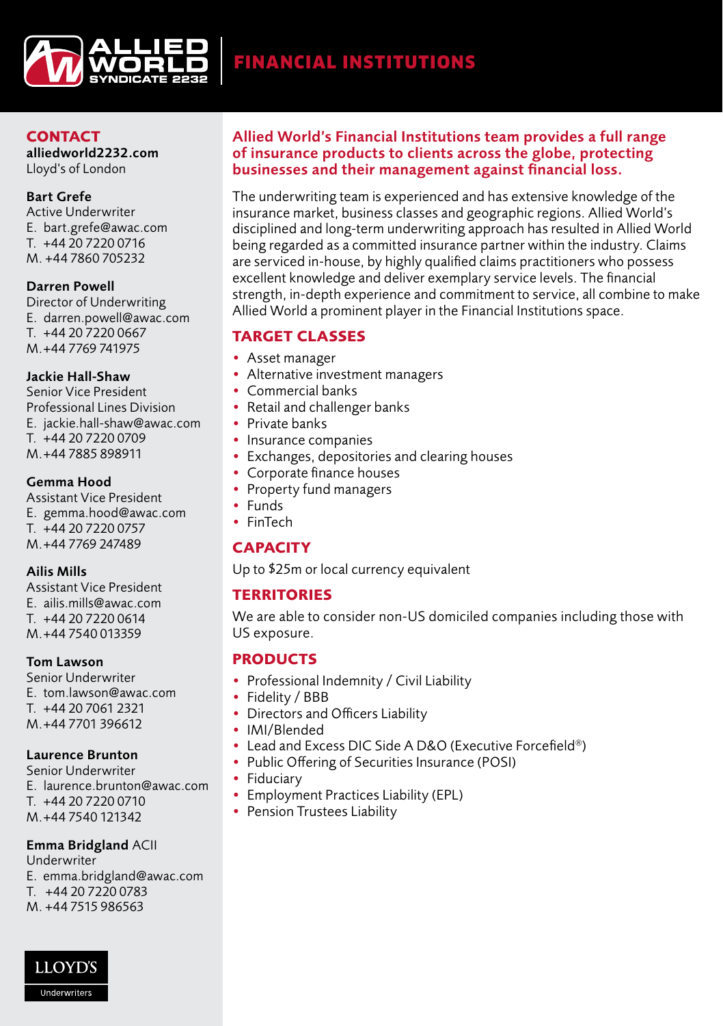

## **CONTACT**

alliedworld2232.com Lloyd's of London

#### Bart Grefe

Active Underwriter E. bart.grefe@awac.com T. +44 20 7220 0716 M. +44 7860 705232

### Darren Powell

Director of Underwriting E. darren.powell@awac.com T. +44 20 7220 0667 M.+44 7769 741975

### Jackie Hall-Shaw

Senior Vice President Professional Lines Division E. jackie.hall-shaw@awac.com T. +44 20 7220 0709 M.+44 7885 898911

### Gemma Hood

Assistant Vice President E. gemma.hood@awac.com T. +44 20 7220 0757 M.+44 7769 247489

#### Ailis Mills

Assistant Vice President E. ailis.mills@awac.com T. +44 20 7220 0614 M.+44 7540 013359

#### Tom Lawson

Senior Underwriter E. tom.lawson@awac.com T. +44 20 7061 2321 M.+44 7701 396612

### Laurence Brunton

Senior Underwriter E. laurence.brunton@awac.com T. +44 20 7220 0710 M.+44 7540 121342

### Emma Bridgland ACII

Underwriter

E. emma.bridgland@awac.com

- T. +44 20 7220 0783
- M. +44 7515 986563

# Allied World's Financial Institutions team provides a full range of insurance products to clients across the globe, protecting businesses and their management against financial loss.

The underwriting team is experienced and has extensive knowledge of the insurance market, business classes and geographic regions. Allied World's disciplined and long-term underwriting approach has resulted in Allied World being regarded as a committed insurance partner within the industry. Claims are serviced in-house, by highly qualified claims practitioners who possess excellent knowledge and deliver exemplary service levels. The financial strength, in-depth experience and commitment to service, all combine to make Allied World a prominent player in the Financial Institutions space.

# **TARGET CLASSES**

- Asset manager
- Alternative investment managers
- Commercial banks
- Retail and challenger banks
- Private banks
- Insurance companies
- Exchanges, depositories and clearing houses
- Corporate finance houses
- Property fund managers
- Funds
- FinTech

# **CAPACITY**

Up to \$25m or local currency equivalent

# **TERRITORIES**

We are able to consider non-US domiciled companies including those with US exposure.

# **PRODUCTS**

- Professional Indemnity / Civil Liability
- Fidelity / BBB
- Directors and Officers Liability
- IMI/Blended
- Lead and Excess DIC Side A D&O (Executive Forcefield®)
- Public Offering of Securities Insurance (POSI)
- Fiduciary
- Employment Practices Liability (EPL)
- Pension Trustees Liability